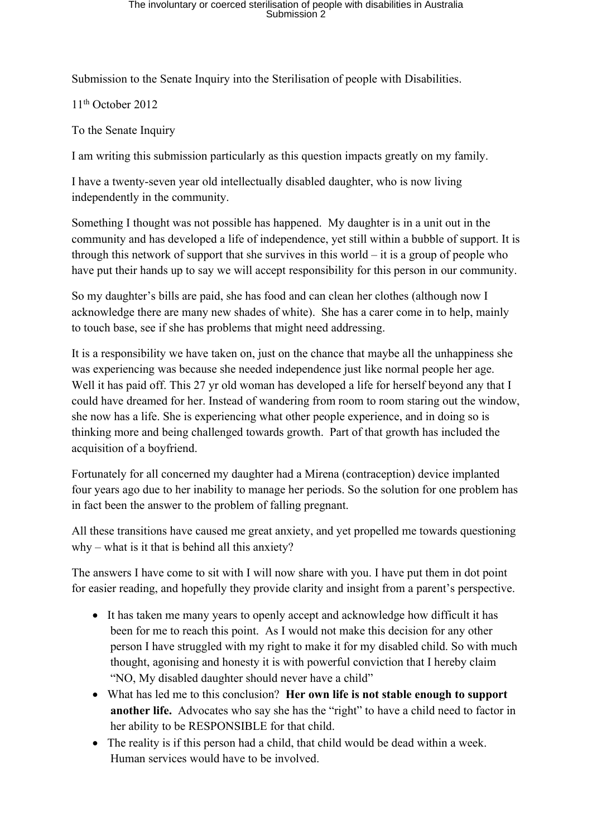Submission to the Senate Inquiry into the Sterilisation of people with Disabilities.

11th October 2012

To the Senate Inquiry

I am writing this submission particularly as this question impacts greatly on my family.

I have a twenty-seven year old intellectually disabled daughter, who is now living independently in the community.

Something I thought was not possible has happened. My daughter is in a unit out in the community and has developed a life of independence, yet still within a bubble of support. It is through this network of support that she survives in this world – it is a group of people who have put their hands up to say we will accept responsibility for this person in our community.

So my daughter's bills are paid, she has food and can clean her clothes (although now I acknowledge there are many new shades of white). She has a carer come in to help, mainly to touch base, see if she has problems that might need addressing.

It is a responsibility we have taken on, just on the chance that maybe all the unhappiness she was experiencing was because she needed independence just like normal people her age. Well it has paid off. This 27 yr old woman has developed a life for herself beyond any that I could have dreamed for her. Instead of wandering from room to room staring out the window, she now has a life. She is experiencing what other people experience, and in doing so is thinking more and being challenged towards growth. Part of that growth has included the acquisition of a boyfriend.

Fortunately for all concerned my daughter had a Mirena (contraception) device implanted four years ago due to her inability to manage her periods. So the solution for one problem has in fact been the answer to the problem of falling pregnant.

All these transitions have caused me great anxiety, and yet propelled me towards questioning why – what is it that is behind all this anxiety?

The answers I have come to sit with I will now share with you. I have put them in dot point for easier reading, and hopefully they provide clarity and insight from a parent's perspective.

- It has taken me many years to openly accept and acknowledge how difficult it has been for me to reach this point. As I would not make this decision for any other person I have struggled with my right to make it for my disabled child. So with much thought, agonising and honesty it is with powerful conviction that I hereby claim "NO, My disabled daughter should never have a child"
- What has led me to this conclusion? **Her own life is not stable enough to support another life.** Advocates who say she has the "right" to have a child need to factor in her ability to be RESPONSIBLE for that child.
- The reality is if this person had a child, that child would be dead within a week. Human services would have to be involved.